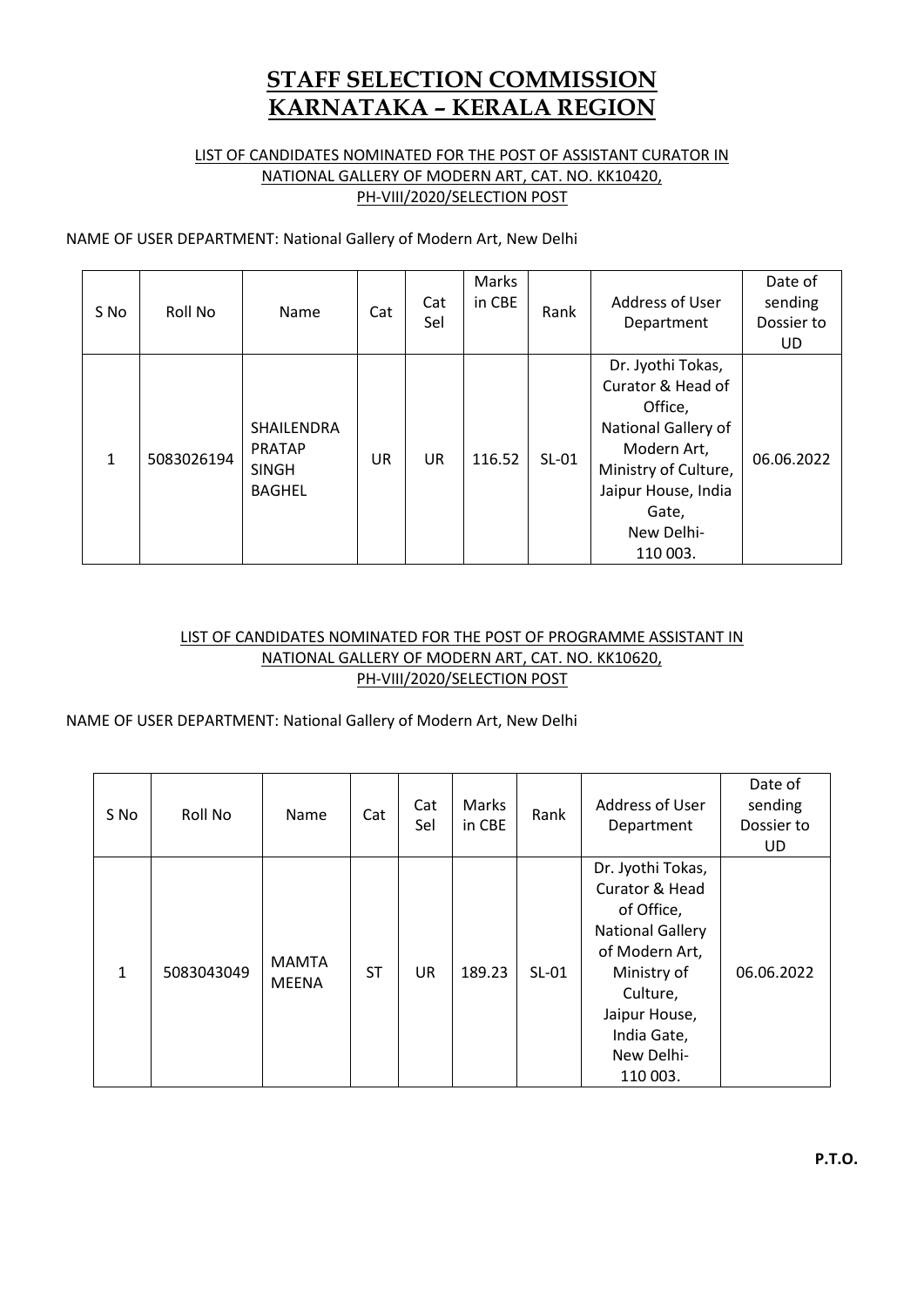# **STAFF SELECTION COMMISSION KARNATAKA – KERALA REGION**

## LIST OF CANDIDATES NOMINATED FOR THE POST OF ASSISTANT CURATOR IN NATIONAL GALLERY OF MODERN ART, CAT. NO. KK10420, PH-VIII/2020/SELECTION POST

NAME OF USER DEPARTMENT: National Gallery of Modern Art, New Delhi

| S No         | Roll No    | Name                                                                | Cat       | Cat<br>Sel | Marks<br>in CBE | Rank    | <b>Address of User</b><br>Department                                                                                                                                      | Date of<br>sending<br>Dossier to<br>UD. |
|--------------|------------|---------------------------------------------------------------------|-----------|------------|-----------------|---------|---------------------------------------------------------------------------------------------------------------------------------------------------------------------------|-----------------------------------------|
| $\mathbf{1}$ | 5083026194 | <b>SHAILENDRA</b><br><b>PRATAP</b><br><b>SINGH</b><br><b>BAGHEL</b> | <b>UR</b> | <b>UR</b>  | 116.52          | $SL-01$ | Dr. Jyothi Tokas,<br>Curator & Head of<br>Office,<br>National Gallery of<br>Modern Art,<br>Ministry of Culture,<br>Jaipur House, India<br>Gate,<br>New Delhi-<br>110 003. | 06.06.2022                              |

## LIST OF CANDIDATES NOMINATED FOR THE POST OF PROGRAMME ASSISTANT IN NATIONAL GALLERY OF MODERN ART, CAT. NO. KK10620, PH-VIII/2020/SELECTION POST

## NAME OF USER DEPARTMENT: National Gallery of Modern Art, New Delhi

| S No         | Roll No    | Name                         | Cat | Cat<br>Sel | Marks<br>in CBE | Rank    | <b>Address of User</b><br>Department                                                                                                                                                | Date of<br>sending<br>Dossier to<br>UD. |
|--------------|------------|------------------------------|-----|------------|-----------------|---------|-------------------------------------------------------------------------------------------------------------------------------------------------------------------------------------|-----------------------------------------|
| $\mathbf{1}$ | 5083043049 | <b>MAMTA</b><br><b>MEENA</b> | ST  | <b>UR</b>  | 189.23          | $SL-01$ | Dr. Jyothi Tokas,<br>Curator & Head<br>of Office,<br><b>National Gallery</b><br>of Modern Art,<br>Ministry of<br>Culture,<br>Jaipur House,<br>India Gate,<br>New Delhi-<br>110 003. | 06.06.2022                              |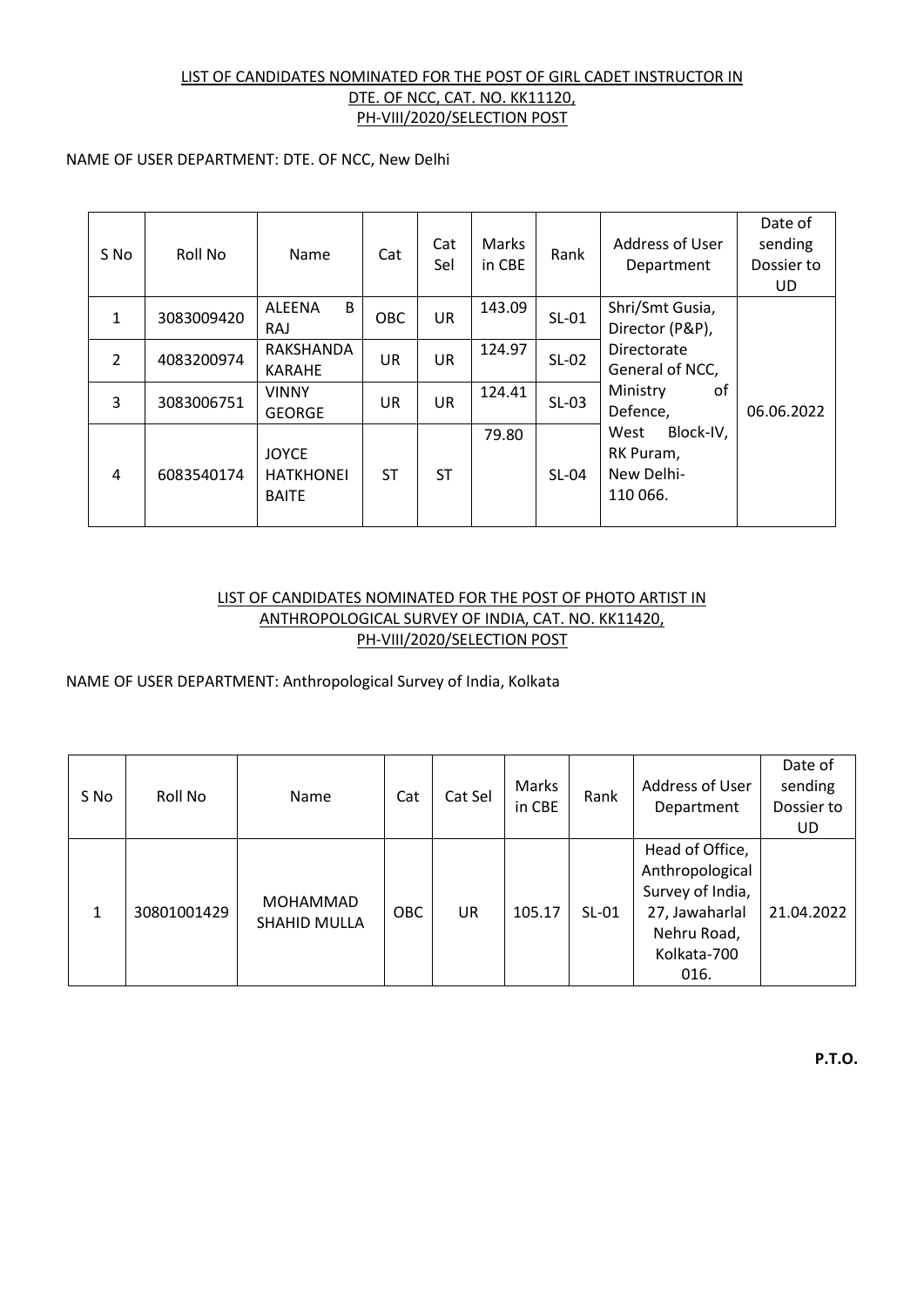### LIST OF CANDIDATES NOMINATED FOR THE POST OF GIRL CADET INSTRUCTOR IN DTE. OF NCC, CAT. NO. KK11120, PH-VIII/2020/SELECTION POST

#### NAME OF USER DEPARTMENT: DTE. OF NCC, New Delhi

| S No           | Roll No    | Name                                             | Cat        | Cat<br>Sel | Marks<br>in CBE | Rank    | Address of User<br>Department                            | Date of<br>sending<br>Dossier to<br>UD |
|----------------|------------|--------------------------------------------------|------------|------------|-----------------|---------|----------------------------------------------------------|----------------------------------------|
| $\mathbf{1}$   | 3083009420 | B<br>ALEENA<br><b>RAJ</b>                        | <b>OBC</b> | <b>UR</b>  | 143.09          | $SL-01$ | Shri/Smt Gusia,<br>Director (P&P),                       |                                        |
| $\overline{2}$ | 4083200974 | RAKSHANDA<br><b>KARAHE</b>                       | <b>UR</b>  | <b>UR</b>  | 124.97          | $SL-02$ | Directorate<br>General of NCC,                           |                                        |
| 3              | 3083006751 | <b>VINNY</b><br><b>GEORGE</b>                    | <b>UR</b>  | <b>UR</b>  | 124.41          | $SL-03$ | Ministry<br>οf<br>Defence,                               | 06.06.2022                             |
| 4              | 6083540174 | <b>JOYCE</b><br><b>HATKHONEI</b><br><b>BAITE</b> | <b>ST</b>  | <b>ST</b>  | 79.80           | $SL-04$ | Block-IV,<br>West<br>RK Puram,<br>New Delhi-<br>110 066. |                                        |

#### LIST OF CANDIDATES NOMINATED FOR THE POST OF PHOTO ARTIST IN ANTHROPOLOGICAL SURVEY OF INDIA, CAT. NO. KK11420, PH-VIII/2020/SELECTION POST

NAME OF USER DEPARTMENT: Anthropological Survey of India, Kolkata

| S No | Roll No     | Name                                   | Cat | Cat Sel | Marks<br>in CBE | Rank    | Address of User<br>Department                                                                                  | Date of<br>sending<br>Dossier to<br>UD |
|------|-------------|----------------------------------------|-----|---------|-----------------|---------|----------------------------------------------------------------------------------------------------------------|----------------------------------------|
|      | 30801001429 | <b>MOHAMMAD</b><br><b>SHAHID MULLA</b> | OBC | UR      | 105.17          | $SL-01$ | Head of Office,<br>Anthropological<br>Survey of India,<br>27, Jawaharlal<br>Nehru Road,<br>Kolkata-700<br>016. | 21.04.2022                             |